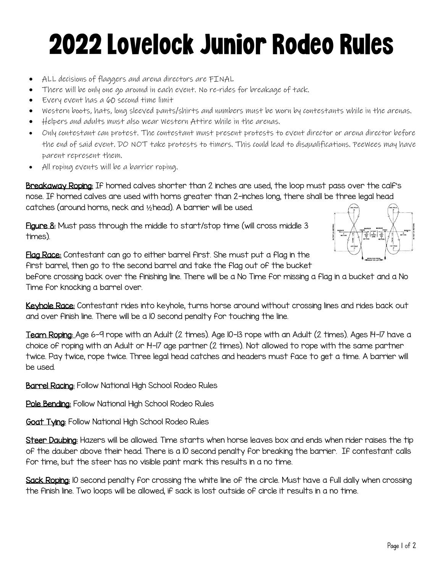## 2022Lovelock Junior Rodeo Rules

- ALL decisions of flaggers and arena directors are FINAL
- There will be only one go around in each event. No re-rides for breakage of tack.
- Every event has a 60 second time limit
- Western boots, hats, long sleeved pants/shirts and numbers must be worn by contestants while in the arenas.
- Helpers and adults must also wear Western Attire while in the arenas.
- Only contestant can protest. The contestant must present protests to event director or arena director before the end of said event. DO NOT take protests to timers. This could lead to disqualifications. PeeWees may have parent represent them.
- All roping events will be a barrier roping.

Breakaway Roping: If horned calves shorter than 2 inches are used, the loop must pass over the calf's nose. If horned calves are used with horns greater than 2-inches long, there shall be three legal head catches (around horns, neck and ½head). A barrier will be used.

Figure 8: Must pass through the middle to start/stop time (will cross middle 3 times).



Flag Race: Contestant can go to either barrel first. She must put a flag in the first barrel, then go to the second barrel and take the flag out of the bucket

before crossing back over the finishing line. There will be a No Time for missing a flag in a bucket and a No Time for knocking a barrel over.

Keyhole Race: Contestant rides into keyhole, turns horse around without crossing lines and rides back out and over finish line. There will be a 10 second penalty for touching the line.

Team Roping: Age 6-9 rope with an Adult (2 times). Age 10-13 rope with an Adult (2 times). Ages 14-17 have a choice of roping with an Adult or 14-17 age partner (2 times). Not allowed to rope with the same partner twice. Pay twice, rope twice. Three legal head catches and headers must face to get a time. A barrier will be used.

**Barrel Racing:** Follow National High School Rodeo Rules

Pole Bending: Follow National High School Rodeo Rules

**Goat Tying:** Follow National High School Rodeo Rules

Steer Daubing: Hazers will be allowed. Time starts when horse leaves box and ends when rider raises the tip of the dauber above their head. There is a 10 second penalty for breaking the barrier. If contestant calls for time, but the steer has no visible paint mark this results in a no time.

Sack Roping: 10 second penalty for crossing the white line of the circle. Must have a full dally when crossing the finish line. Two loops will be allowed, if sack is lost outside of circle it results in a no time.